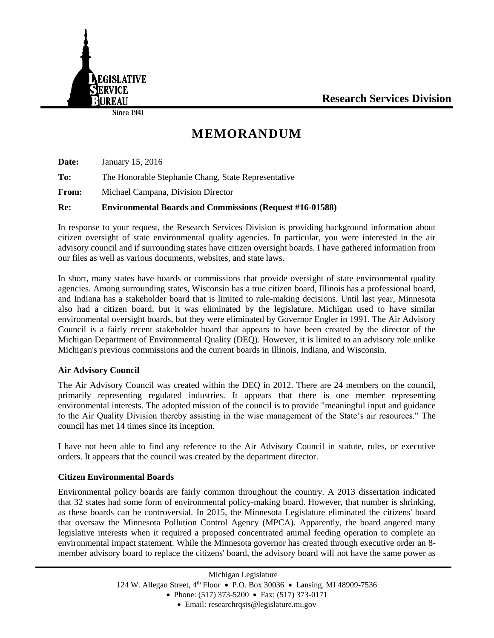



**Since 1941** 

# **MEMORANDUM**

**Date:** January 15, 2016 **To:** The Honorable Stephanie Chang, State Representative **From:** Michael Campana, Division Director **Re: Environmental Boards and Commissions (Request #16-01588)**

In response to your request, the Research Services Division is providing background information about citizen oversight of state environmental quality agencies. In particular, you were interested in the air advisory council and if surrounding states have citizen oversight boards. I have gathered information from our files as well as various documents, websites, and state laws.

In short, many states have boards or commissions that provide oversight of state environmental quality agencies. Among surrounding states, Wisconsin has a true citizen board, Illinois has a professional board, and Indiana has a stakeholder board that is limited to rule-making decisions. Until last year, Minnesota also had a citizen board, but it was eliminated by the legislature. Michigan used to have similar environmental oversight boards, but they were eliminated by Governor Engler in 1991. The Air Advisory Council is a fairly recent stakeholder board that appears to have been created by the director of the Michigan Department of Environmental Quality (DEQ). However, it is limited to an advisory role unlike Michigan's previous commissions and the current boards in Illinois, Indiana, and Wisconsin.

# **Air Advisory Council**

The Air Advisory Council was created within the DEQ in 2012. There are 24 members on the council, primarily representing regulated industries. It appears that there is one member representing environmental interests. The adopted mission of the council is to provide "meaningful input and guidance to the Air Quality Division thereby assisting in the wise management of the State's air resources." The council has met 14 times since its inception.

I have not been able to find any reference to the Air Advisory Council in statute, rules, or executive orders. It appears that the council was created by the department director.

# **Citizen Environmental Boards**

Environmental policy boards are fairly common throughout the country. A 2013 dissertation indicated that 32 states had some form of environmental policy-making board. However, that number is shrinking, as these boards can be controversial. In 2015, the Minnesota Legislature eliminated the citizens' board that oversaw the Minnesota Pollution Control Agency (MPCA). Apparently, the board angered many legislative interests when it required a proposed concentrated animal feeding operation to complete an environmental impact statement. While the Minnesota governor has created through executive order an 8 member advisory board to replace the citizens' board, the advisory board will not have the same power as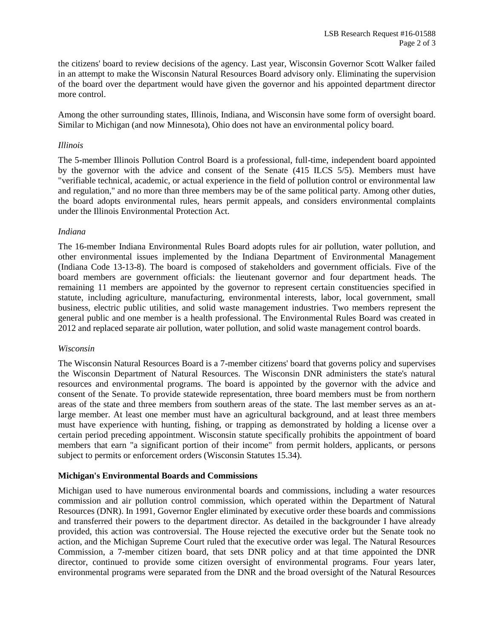the citizens' board to review decisions of the agency. Last year, Wisconsin Governor Scott Walker failed in an attempt to make the Wisconsin Natural Resources Board advisory only. Eliminating the supervision of the board over the department would have given the governor and his appointed department director more control.

Among the other surrounding states, Illinois, Indiana, and Wisconsin have some form of oversight board. Similar to Michigan (and now Minnesota), Ohio does not have an environmental policy board.

#### *Illinois*

The 5-member Illinois Pollution Control Board is a professional, full-time, independent board appointed by the governor with the advice and consent of the Senate (415 ILCS 5/5). Members must have "verifiable technical, academic, or actual experience in the field of pollution control or environmental law and regulation," and no more than three members may be of the same political party. Among other duties, the board adopts environmental rules, hears permit appeals, and considers environmental complaints under the Illinois Environmental Protection Act.

## *Indiana*

The 16-member Indiana Environmental Rules Board adopts rules for air pollution, water pollution, and other environmental issues implemented by the Indiana Department of Environmental Management (Indiana Code 13-13-8). The board is composed of stakeholders and government officials. Five of the board members are government officials: the lieutenant governor and four department heads. The remaining 11 members are appointed by the governor to represent certain constituencies specified in statute, including agriculture, manufacturing, environmental interests, labor, local government, small business, electric public utilities, and solid waste management industries. Two members represent the general public and one member is a health professional. The Environmental Rules Board was created in 2012 and replaced separate air pollution, water pollution, and solid waste management control boards.

#### *Wisconsin*

The Wisconsin Natural Resources Board is a 7-member citizens' board that governs policy and supervises the Wisconsin Department of Natural Resources. The Wisconsin DNR administers the state's natural resources and environmental programs. The board is appointed by the governor with the advice and consent of the Senate. To provide statewide representation, three board members must be from northern areas of the state and three members from southern areas of the state. The last member serves as an atlarge member. At least one member must have an agricultural background, and at least three members must have experience with hunting, fishing, or trapping as demonstrated by holding a license over a certain period preceding appointment. Wisconsin statute specifically prohibits the appointment of board members that earn "a significant portion of their income" from permit holders, applicants, or persons subject to permits or enforcement orders (Wisconsin Statutes 15.34).

## **Michigan's Environmental Boards and Commissions**

Michigan used to have numerous environmental boards and commissions, including a water resources commission and air pollution control commission, which operated within the Department of Natural Resources (DNR). In 1991, Governor Engler eliminated by executive order these boards and commissions and transferred their powers to the department director. As detailed in the backgrounder I have already provided, this action was controversial. The House rejected the executive order but the Senate took no action, and the Michigan Supreme Court ruled that the executive order was legal. The Natural Resources Commission, a 7-member citizen board, that sets DNR policy and at that time appointed the DNR director, continued to provide some citizen oversight of environmental programs. Four years later, environmental programs were separated from the DNR and the broad oversight of the Natural Resources